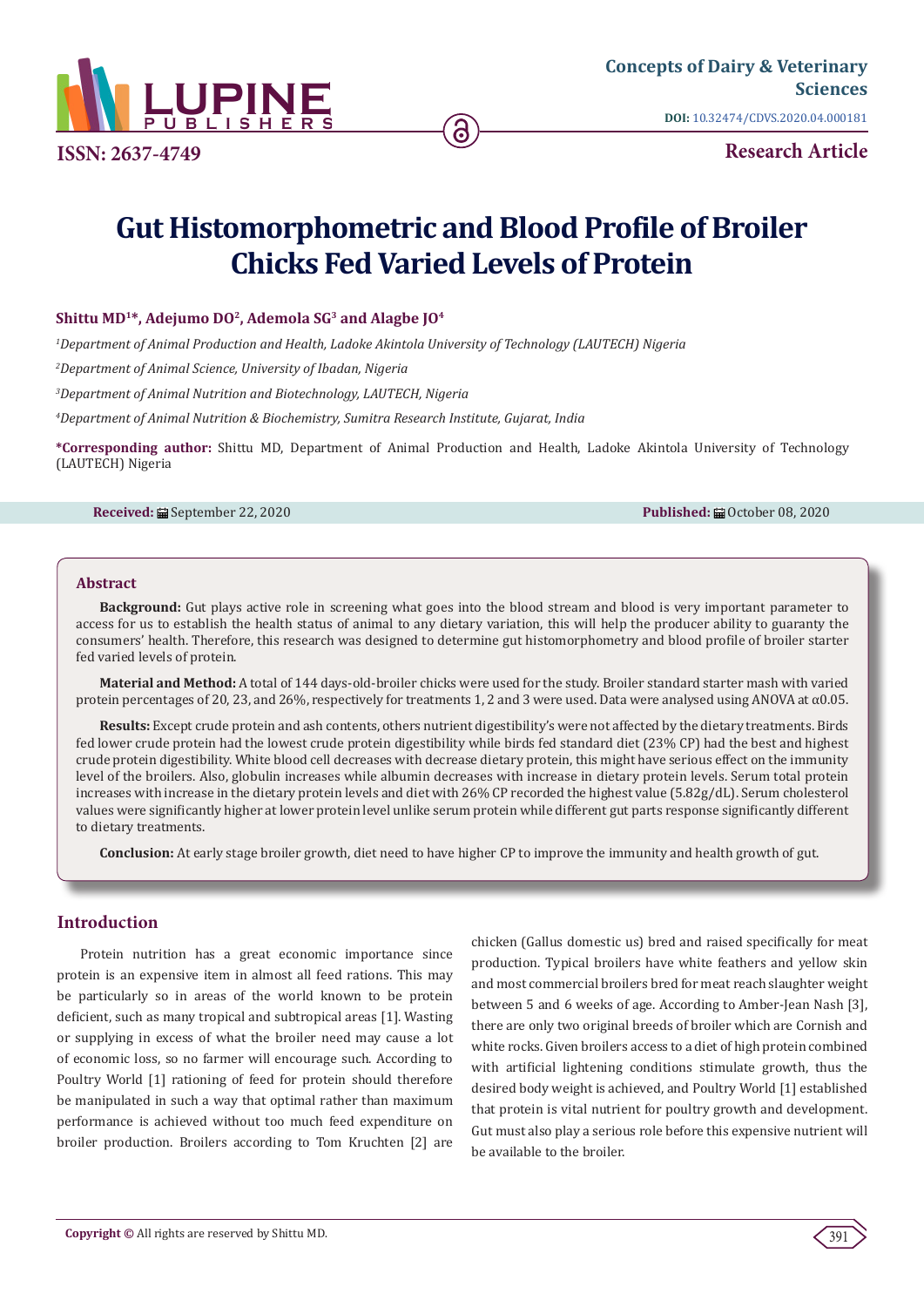

**ISSN: 2637-4749**

**DOI:** [10.32474/CDVS.2020.04.000181](http://dx.doi.org/10.32474/CDVS.2020.04.000181)

**Research Article**

# **Gut Histomorphometric and Blood Profile of Broiler Chicks Fed Varied Levels of Protein**

# **Shittu MD1\*, Adejumo DO2, Ademola SG3 and Alagbe JO4**

*1 Department of Animal Production and Health, Ladoke Akintola University of Technology (LAUTECH) Nigeria*

*2 Department of Animal Science, University of Ibadan, Nigeria*

*3 Department of Animal Nutrition and Biotechnology, LAUTECH, Nigeria*

*4 Department of Animal Nutrition & Biochemistry, Sumitra Research Institute, Gujarat, India*

**\*Corresponding author:** Shittu MD, Department of Animal Production and Health, Ladoke Akintola University of Technology (LAUTECH) Nigeria

#### **Received:** ■ September 22, 2020 **Published:** ■ October 08, 2020

#### **Abstract**

**Background:** Gut plays active role in screening what goes into the blood stream and blood is very important parameter to access for us to establish the health status of animal to any dietary variation, this will help the producer ability to guaranty the consumers' health. Therefore, this research was designed to determine gut histomorphometry and blood profile of broiler starter fed varied levels of protein.

**Material and Method:** A total of 144 days-old-broiler chicks were used for the study. Broiler standard starter mash with varied protein percentages of 20, 23, and 26%, respectively for treatments 1, 2 and 3 were used. Data were analysed using ANOVA at α0.05.

**Results:** Except crude protein and ash contents, others nutrient digestibility's were not affected by the dietary treatments. Birds fed lower crude protein had the lowest crude protein digestibility while birds fed standard diet (23% CP) had the best and highest crude protein digestibility. White blood cell decreases with decrease dietary protein, this might have serious effect on the immunity level of the broilers. Also, globulin increases while albumin decreases with increase in dietary protein levels. Serum total protein increases with increase in the dietary protein levels and diet with 26% CP recorded the highest value (5.82g/dL). Serum cholesterol values were significantly higher at lower protein level unlike serum protein while different gut parts response significantly different to dietary treatments.

**Conclusion:** At early stage broiler growth, diet need to have higher CP to improve the immunity and health growth of gut.

# **Introduction**

Protein nutrition has a great economic importance since protein is an expensive item in almost all feed rations. This may be particularly so in areas of the world known to be protein deficient, such as many tropical and subtropical areas [1]. Wasting or supplying in excess of what the broiler need may cause a lot of economic loss, so no farmer will encourage such. According to Poultry World [1] rationing of feed for protein should therefore be manipulated in such a way that optimal rather than maximum performance is achieved without too much feed expenditure on broiler production. Broilers according to Tom Kruchten [2] are chicken (Gallus domestic us) bred and raised specifically for meat production. Typical broilers have white feathers and yellow skin and most commercial broilers bred for meat reach slaughter weight between 5 and 6 weeks of age. According to Amber-Jean Nash [3], there are only two original breeds of broiler which are Cornish and white rocks. Given broilers access to a diet of high protein combined with artificial lightening conditions stimulate growth, thus the desired body weight is achieved, and Poultry World [1] established that protein is vital nutrient for poultry growth and development. Gut must also play a serious role before this expensive nutrient will be available to the broiler.

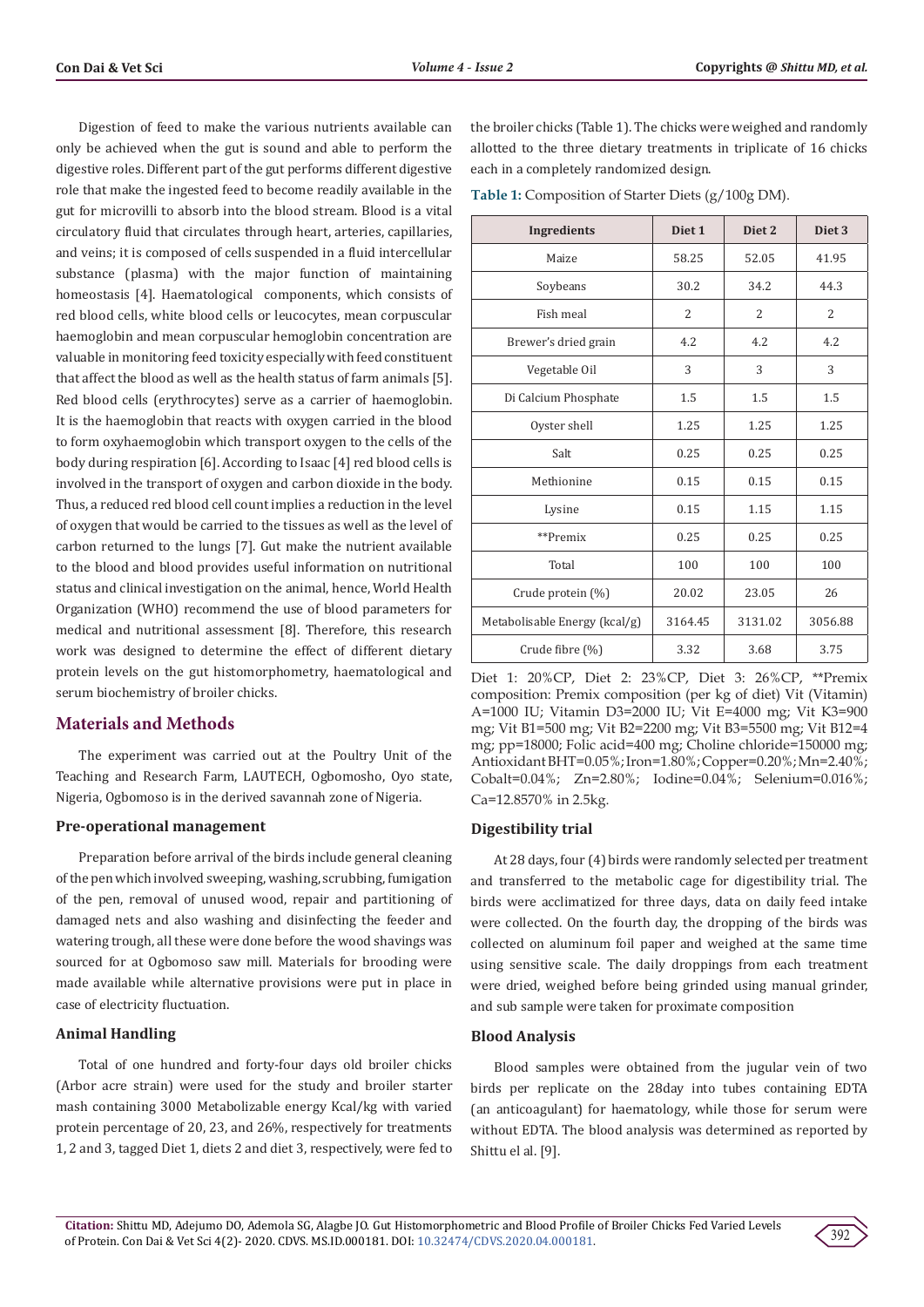Digestion of feed to make the various nutrients available can only be achieved when the gut is sound and able to perform the digestive roles. Different part of the gut performs different digestive role that make the ingested feed to become readily available in the gut for microvilli to absorb into the blood stream. Blood is a vital circulatory fluid that circulates through heart, arteries, capillaries, and veins; it is composed of cells suspended in a fluid intercellular substance (plasma) with the major function of maintaining homeostasis [4]. Haematological components, which consists of red blood cells, white blood cells or leucocytes, mean corpuscular haemoglobin and mean corpuscular hemoglobin concentration are valuable in monitoring feed toxicity especially with feed constituent that affect the blood as well as the health status of farm animals [5]. Red blood cells (erythrocytes) serve as a carrier of haemoglobin. It is the haemoglobin that reacts with oxygen carried in the blood to form oxyhaemoglobin which transport oxygen to the cells of the body during respiration [6]. According to Isaac [4] red blood cells is involved in the transport of oxygen and carbon dioxide in the body. Thus, a reduced red blood cell count implies a reduction in the level of oxygen that would be carried to the tissues as well as the level of carbon returned to the lungs [7]. Gut make the nutrient available to the blood and blood provides useful information on nutritional status and clinical investigation on the animal, hence, World Health Organization (WHO) recommend the use of blood parameters for medical and nutritional assessment [8]. Therefore, this research work was designed to determine the effect of different dietary protein levels on the gut histomorphometry, haematological and serum biochemistry of broiler chicks.

# **Materials and Methods**

The experiment was carried out at the Poultry Unit of the Teaching and Research Farm, LAUTECH, Ogbomosho, Oyo state, Nigeria, Ogbomoso is in the derived savannah zone of Nigeria.

#### **Pre-operational management**

Preparation before arrival of the birds include general cleaning of the pen which involved sweeping, washing, scrubbing, fumigation of the pen, removal of unused wood, repair and partitioning of damaged nets and also washing and disinfecting the feeder and watering trough, all these were done before the wood shavings was sourced for at Ogbomoso saw mill. Materials for brooding were made available while alternative provisions were put in place in case of electricity fluctuation.

# **Animal Handling**

Total of one hundred and forty-four days old broiler chicks (Arbor acre strain) were used for the study and broiler starter mash containing 3000 Metabolizable energy Kcal/kg with varied protein percentage of 20, 23, and 26%, respectively for treatments 1, 2 and 3, tagged Diet 1, diets 2 and diet 3, respectively, were fed to

the broiler chicks (Table 1). The chicks were weighed and randomly allotted to the three dietary treatments in triplicate of 16 chicks each in a completely randomized design.

**Table 1:** Composition of Starter Diets (g/100g DM).

| Ingredients                   | Diet <sub>1</sub> | Diet <sub>2</sub> | Diet <sub>3</sub> |
|-------------------------------|-------------------|-------------------|-------------------|
| Maize                         | 58.25             | 52.05             | 41.95             |
| Soybeans                      | 30.2              | 34.2              | 44.3              |
| Fish meal                     | 2                 | 2                 | 2                 |
| Brewer's dried grain          | 4.2               | 4.2               | 4.2               |
| Vegetable Oil                 | 3                 | 3                 | 3                 |
| Di Calcium Phosphate          | 1.5               | 1.5               | 1.5               |
| Oyster shell                  | 1.25              | 1.25              | 1.25              |
| Salt                          | 0.25              | 0.25              | 0.25              |
| Methionine                    | 0.15              | 0.15              | 0.15              |
| Lysine                        | 0.15              | 1.15              | 1.15              |
| **Premix                      | 0.25              | 0.25              | 0.25              |
| Total                         | 100               | 100               | 100               |
| Crude protein (%)             | 20.02             | 23.05             | 26                |
| Metabolisable Energy (kcal/g) | 3164.45           | 3131.02           | 3056.88           |
| Crude fibre (%)               | 3.32              | 3.68              | 3.75              |

Diet 1: 20%CP, Diet 2: 23%CP, Diet 3: 26%CP, \*\*Premix composition: Premix composition (per kg of diet) Vit (Vitamin) A=1000 IU; Vitamin D3=2000 IU; Vit E=4000 mg; Vit K3=900 mg; Vit B1=500 mg; Vit B2=2200 mg; Vit B3=5500 mg; Vit B12=4 mg; pp=18000; Folic acid=400 mg; Choline chloride=150000 mg; Antioxidant BHT=0.05%; Iron=1.80%; Copper=0.20%; Mn=2.40%; Cobalt=0.04%; Zn=2.80%; Iodine=0.04%; Selenium=0.016%; Ca=12.8570% in 2.5kg.

# **Digestibility trial**

At 28 days, four (4) birds were randomly selected per treatment and transferred to the metabolic cage for digestibility trial. The birds were acclimatized for three days, data on daily feed intake were collected. On the fourth day, the dropping of the birds was collected on aluminum foil paper and weighed at the same time using sensitive scale. The daily droppings from each treatment were dried, weighed before being grinded using manual grinder, and sub sample were taken for proximate composition

# **Blood Analysis**

Blood samples were obtained from the jugular vein of two birds per replicate on the 28day into tubes containing EDTA (an anticoagulant) for haematology, while those for serum were without EDTA. The blood analysis was determined as reported by Shittu el al. [9].

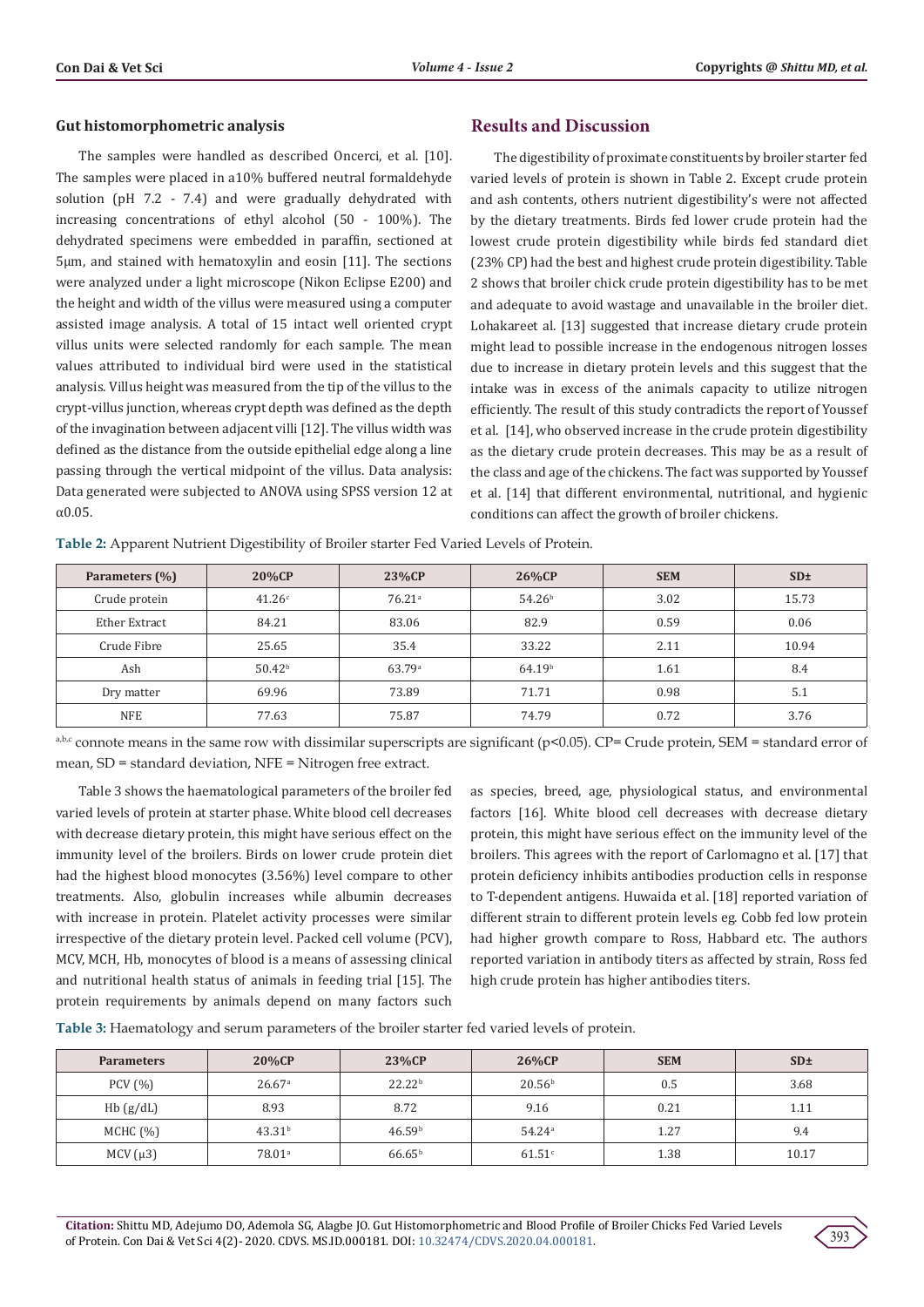#### **Gut histomorphometric analysis**

The samples were handled as described Oncerci, et al. [10]. The samples were placed in a10% buffered neutral formaldehyde solution (pH 7.2 - 7.4) and were gradually dehydrated with increasing concentrations of ethyl alcohol (50 - 100%). The dehydrated specimens were embedded in paraffin, sectioned at 5µm, and stained with hematoxylin and eosin [11]. The sections were analyzed under a light microscope (Nikon Eclipse E200) and the height and width of the villus were measured using a computer assisted image analysis. A total of 15 intact well oriented crypt villus units were selected randomly for each sample. The mean values attributed to individual bird were used in the statistical analysis. Villus height was measured from the tip of the villus to the crypt-villus junction, whereas crypt depth was defined as the depth of the invagination between adjacent villi [12]. The villus width was defined as the distance from the outside epithelial edge along a line passing through the vertical midpoint of the villus. Data analysis: Data generated were subjected to ANOVA using SPSS version 12 at α0.05.

# **Results and Discussion**

The digestibility of proximate constituents by broiler starter fed varied levels of protein is shown in Table 2. Except crude protein and ash contents, others nutrient digestibility's were not affected by the dietary treatments. Birds fed lower crude protein had the lowest crude protein digestibility while birds fed standard diet (23% CP) had the best and highest crude protein digestibility. Table 2 shows that broiler chick crude protein digestibility has to be met and adequate to avoid wastage and unavailable in the broiler diet. Lohakareet al. [13] suggested that increase dietary crude protein might lead to possible increase in the endogenous nitrogen losses due to increase in dietary protein levels and this suggest that the intake was in excess of the animals capacity to utilize nitrogen efficiently. The result of this study contradicts the report of Youssef et al. [14], who observed increase in the crude protein digestibility as the dietary crude protein decreases. This may be as a result of the class and age of the chickens. The fact was supported by Youssef et al. [14] that different environmental, nutritional, and hygienic conditions can affect the growth of broiler chickens.

**Table 2:** Apparent Nutrient Digestibility of Broiler starter Fed Varied Levels of Protein.

| Parameters (%) | 20%CP           | 23%CP                | 26%CP              | <b>SEM</b> | SD <sub>±</sub> |
|----------------|-----------------|----------------------|--------------------|------------|-----------------|
| Crude protein  | 41.26c          | $76.21$ <sup>a</sup> | 54.26 <sup>b</sup> | 3.02       | 15.73           |
| Ether Extract  | 84.21           | 83.06                | 82.9               | 0.59       | 0.06            |
| Crude Fibre    | 25.65           | 35.4                 | 33.22              | 2.11       | 10.94           |
| Ash            | $50.42^{\rm b}$ | 63.79a               | 64.19 <sup>b</sup> | 1.61       | 8.4             |
| Dry matter     | 69.96           | 73.89                | 71.71              | 0.98       | 5.1             |
| <b>NFE</b>     | 77.63           | 75.87                | 74.79              | 0.72       | 3.76            |

 $a,b,c$  connote means in the same row with dissimilar superscripts are significant (p<0.05). CP= Crude protein, SEM = standard error of mean, SD = standard deviation, NFE = Nitrogen free extract.

Table 3 shows the haematological parameters of the broiler fed varied levels of protein at starter phase. White blood cell decreases with decrease dietary protein, this might have serious effect on the immunity level of the broilers. Birds on lower crude protein diet had the highest blood monocytes (3.56%) level compare to other treatments. Also, globulin increases while albumin decreases with increase in protein. Platelet activity processes were similar irrespective of the dietary protein level. Packed cell volume (PCV), MCV, MCH, Hb, monocytes of blood is a means of assessing clinical and nutritional health status of animals in feeding trial [15]. The protein requirements by animals depend on many factors such

as species, breed, age, physiological status, and environmental factors [16]. White blood cell decreases with decrease dietary protein, this might have serious effect on the immunity level of the broilers. This agrees with the report of Carlomagno et al. [17] that protein deficiency inhibits antibodies production cells in response to T-dependent antigens. Huwaida et al. [18] reported variation of different strain to different protein levels eg. Cobb fed low protein had higher growth compare to Ross, Habbard etc. The authors reported variation in antibody titers as affected by strain, Ross fed high crude protein has higher antibodies titers.

**Table 3:** Haematology and serum parameters of the broiler starter fed varied levels of protein.

| <b>Parameters</b> | 20%CP              | 23%CP              | 26%CP                | <b>SEM</b> | SD <sub>±</sub> |
|-------------------|--------------------|--------------------|----------------------|------------|-----------------|
| PCV(%)            | 26.67 <sup>a</sup> | 22.22 <sup>b</sup> | 20.56 <sup>b</sup>   | 0.5        | 3.68            |
| Hb(g/dL)          | 8.93               | 8.72               | 9.16                 | 0.21       | 1.11            |
| MCHC (%)          | 43.31 <sup>b</sup> | 46.59 <sup>b</sup> | 54.24 <sup>a</sup>   | 1.27       | 9.4             |
| MCV $(\mu 3)$     | 78.01 <sup>a</sup> | 66.65 <sup>b</sup> | $61.51$ <sup>c</sup> | 1.38       | 10.17           |

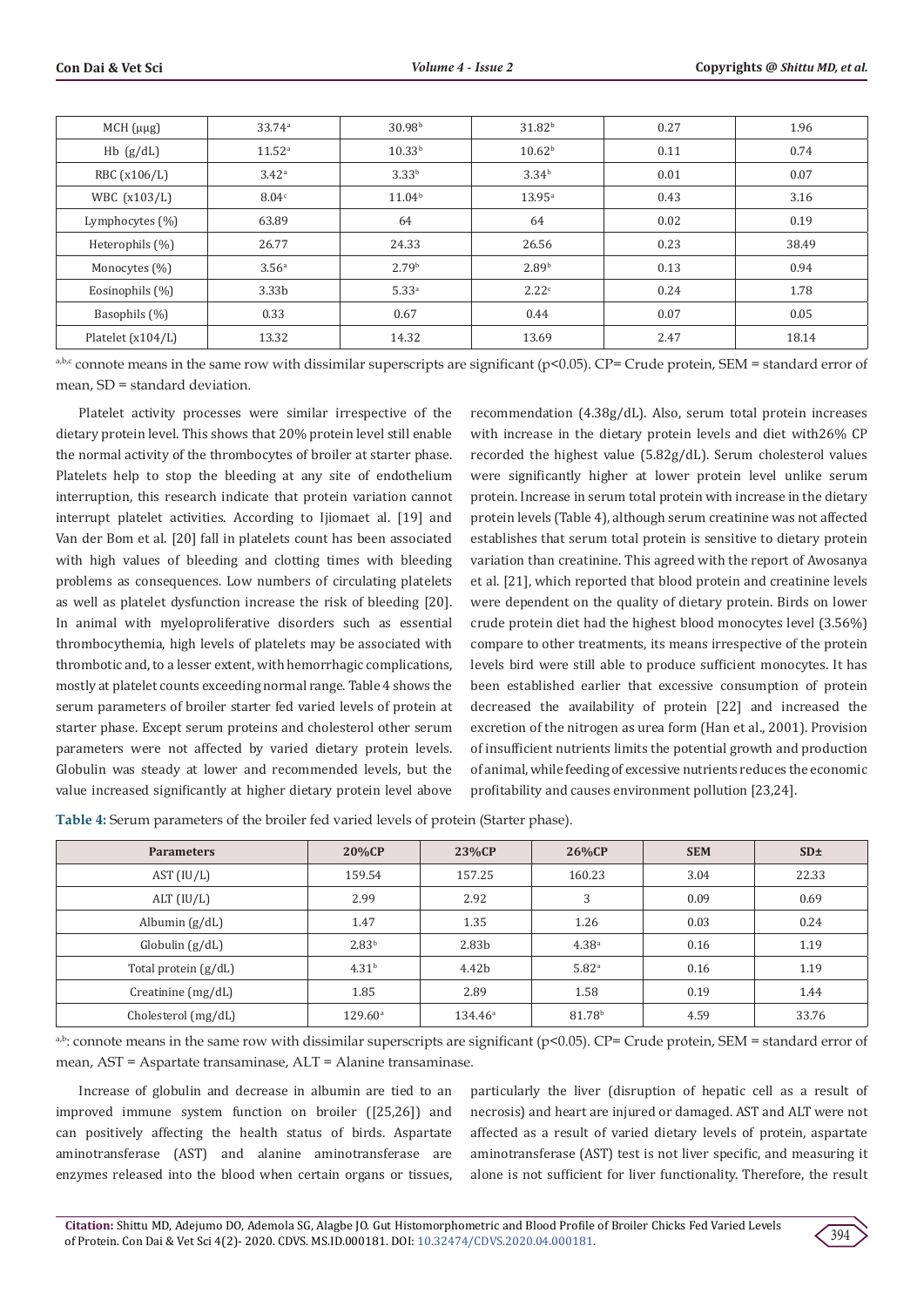| $MCH(\mu\mu g)$    | 33.74a             | 30.98 <sup>b</sup> | 31.82 <sup>b</sup> | 0.27 | 1.96  |
|--------------------|--------------------|--------------------|--------------------|------|-------|
| $Hb$ (g/dL)        | 11.52 <sup>a</sup> | 10.33 <sup>b</sup> | 10.62 <sup>b</sup> | 0.11 | 0.74  |
| RBC (x106/L)       | 3.42 <sup>a</sup>  | 3.33 <sup>b</sup>  | 3.34 <sup>b</sup>  | 0.01 | 0.07  |
| WBC (x103/L)       | 8.04c              | 11.04 <sup>b</sup> | $13.95^{\circ}$    | 0.43 | 3.16  |
| Lymphocytes $(\%)$ | 63.89              | 64                 | 64                 | 0.02 | 0.19  |
| Heterophils (%)    | 26.77              | 24.33              | 26.56              | 0.23 | 38.49 |
| Monocytes (%)      | 3.56 <sup>a</sup>  | 2.79 <sup>b</sup>  | 2.89 <sup>b</sup>  | 0.13 | 0.94  |
| Eosinophils (%)    | 3.33 <sub>b</sub>  | 5.33 <sup>a</sup>  | 2.22c              | 0.24 | 1.78  |
| Basophils (%)      | 0.33               | 0.67               | 0.44               | 0.07 | 0.05  |
| Platelet (x104/L)  | 13.32              | 14.32              | 13.69              | 2.47 | 18.14 |

 $a,b,c$  connote means in the same row with dissimilar superscripts are significant (p<0.05). CP= Crude protein, SEM = standard error of mean, SD = standard deviation.

Platelet activity processes were similar irrespective of the dietary protein level. This shows that 20% protein level still enable the normal activity of the thrombocytes of broiler at starter phase. Platelets help to stop the bleeding at any site of endothelium interruption, this research indicate that protein variation cannot interrupt platelet activities. According to Ijiomaet al. [19] and Van der Bom et al. [20] fall in platelets count has been associated with high values of bleeding and clotting times with bleeding problems as consequences. Low numbers of circulating platelets as well as platelet dysfunction increase the risk of bleeding [20]. In animal with myeloproliferative disorders such as essential thrombocythemia, high levels of platelets may be associated with thrombotic and, to a lesser extent, with hemorrhagic complications, mostly at platelet counts exceeding normal range. Table 4 shows the serum parameters of broiler starter fed varied levels of protein at starter phase. Except serum proteins and cholesterol other serum parameters were not affected by varied dietary protein levels. Globulin was steady at lower and recommended levels, but the value increased significantly at higher dietary protein level above

recommendation (4.38g/dL). Also, serum total protein increases with increase in the dietary protein levels and diet with26% CP recorded the highest value (5.82g/dL). Serum cholesterol values were significantly higher at lower protein level unlike serum protein. Increase in serum total protein with increase in the dietary protein levels (Table 4), although serum creatinine was not affected establishes that serum total protein is sensitive to dietary protein variation than creatinine. This agreed with the report of Awosanya et al. [21], which reported that blood protein and creatinine levels were dependent on the quality of dietary protein. Birds on lower crude protein diet had the highest blood monocytes level (3.56%) compare to other treatments, its means irrespective of the protein levels bird were still able to produce sufficient monocytes. It has been established earlier that excessive consumption of protein decreased the availability of protein [22] and increased the excretion of the nitrogen as urea form (Han et al., 2001). Provision of insufficient nutrients limits the potential growth and production of animal, while feeding of excessive nutrients reduces the economic profitability and causes environment pollution [23,24].

**Table 4:** Serum parameters of the broiler fed varied levels of protein (Starter phase).

| <b>Parameters</b>    | 20%CP             | 23%CP             | 26%CP              | <b>SEM</b> | SD <sub>±</sub> |
|----------------------|-------------------|-------------------|--------------------|------------|-----------------|
| AST (IU/L)           | 159.54            | 157.25            | 160.23             | 3.04       | 22.33           |
| ALT (IU/L)           | 2.99              | 2.92              | 3                  | 0.09       | 0.69            |
| Albumin $(g/dL)$     | 1.47              | 1.35              | 1.26               | 0.03       | 0.24            |
| Globulin $(g/dL)$    | 2.83 <sup>b</sup> | 2.83 <sub>b</sub> | 4.38 <sup>a</sup>  | 0.16       | 1.19            |
| Total protein (g/dL) | 4.31 <sup>b</sup> | 4.42b             | 5.82 <sup>a</sup>  | 0.16       | 1.19            |
| Creatinine (mg/dL)   | 1.85              | 2.89              | 1.58               | 0.19       | 1.44            |
| Cholesterol (mg/dL)  | $129.60^{\circ}$  | $134.46^{\circ}$  | 81.78 <sup>b</sup> | 4.59       | 33.76           |

a,b: connote means in the same row with dissimilar superscripts are significant (p<0.05). CP= Crude protein, SEM = standard error of mean, AST = Aspartate transaminase, ALT = Alanine transaminase.

Increase of globulin and decrease in albumin are tied to an improved immune system function on broiler ([25,26]) and can positively affecting the health status of birds. Aspartate aminotransferase (AST) and alanine aminotransferase are enzymes released into the blood when certain organs or tissues, particularly the liver (disruption of hepatic cell as a result of necrosis) and heart are injured or damaged. AST and ALT were not affected as a result of varied dietary levels of protein, aspartate aminotransferase (AST) test is not liver specific, and measuring it alone is not sufficient for liver functionality. Therefore, the result

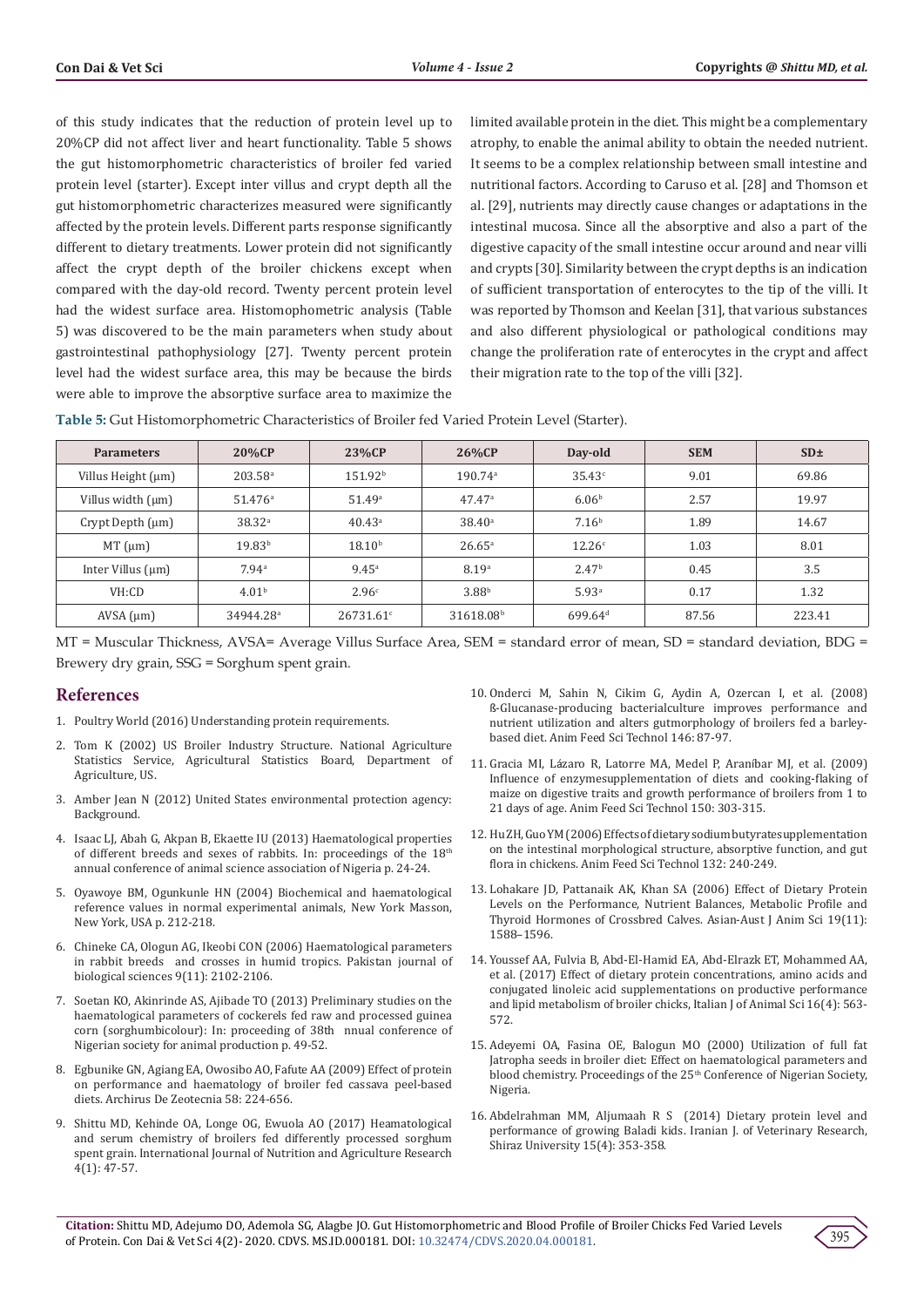of this study indicates that the reduction of protein level up to 20%CP did not affect liver and heart functionality. Table 5 shows the gut histomorphometric characteristics of broiler fed varied protein level (starter). Except inter villus and crypt depth all the gut histomorphometric characterizes measured were significantly affected by the protein levels. Different parts response significantly different to dietary treatments. Lower protein did not significantly affect the crypt depth of the broiler chickens except when compared with the day-old record. Twenty percent protein level had the widest surface area. Histomophometric analysis (Table 5) was discovered to be the main parameters when study about gastrointestinal pathophysiology [27]. Twenty percent protein level had the widest surface area, this may be because the birds were able to improve the absorptive surface area to maximize the limited available protein in the diet. This might be a complementary atrophy, to enable the animal ability to obtain the needed nutrient. It seems to be a complex relationship between small intestine and nutritional factors. According to Caruso et al. [28] and Thomson et al. [29], nutrients may directly cause changes or adaptations in the intestinal mucosa. Since all the absorptive and also a part of the digestive capacity of the small intestine occur around and near villi and crypts [30]. Similarity between the crypt depths is an indication of sufficient transportation of enterocytes to the tip of the villi. It was reported by Thomson and Keelan [31], that various substances and also different physiological or pathological conditions may change the proliferation rate of enterocytes in the crypt and affect their migration rate to the top of the villi [32].

**Table 5:** Gut Histomorphometric Characteristics of Broiler fed Varied Protein Level (Starter).

| <b>Parameters</b>      | <b>20%CP</b>          | 23%CP                 | 26%CP                 | Day-old             | <b>SEM</b> | SD <sub>±</sub> |
|------------------------|-----------------------|-----------------------|-----------------------|---------------------|------------|-----------------|
| Villus Height (µm)     | $203.58$ <sup>a</sup> | 151.92 <sup>b</sup>   | $190.74$ <sup>a</sup> | 35.43c              | 9.01       | 69.86           |
| Villus width (µm)      | $51.476^{\circ}$      | 51.49a                | $47.47$ <sup>a</sup>  | 6.06 <sup>b</sup>   | 2.57       | 19.97           |
| Crypt Depth $(\mu m)$  | 38.32 <sup>a</sup>    | $40.43^{\circ}$       | $38.40^{\circ}$       | 7.16 <sup>b</sup>   | 1.89       | 14.67           |
| $MT \, (\mu m)$        | 19.83 <sup>b</sup>    | $18.10^{b}$           | $26.65^{\circ}$       | 12.26 <sup>c</sup>  | 1.03       | 8.01            |
| Inter Villus $(\mu m)$ | 7.94 <sup>a</sup>     | $9.45^{\circ}$        | 8.19 <sup>a</sup>     | 2.47 <sup>b</sup>   | 0.45       | 3.5             |
| VH:CD                  | 4.01 <sup>b</sup>     | 2.96c                 | 3.88 <sup>b</sup>     | 5.93 <sup>a</sup>   | 0.17       | 1.32            |
| $AVSA$ ( $\mu$ m)      | 34944.28 <sup>a</sup> | 26731.61 <sup>c</sup> | 31618.08 <sup>b</sup> | 699.64 <sup>d</sup> | 87.56      | 223.41          |

MT = Muscular Thickness, AVSA= Average Villus Surface Area, SEM = standard error of mean, SD = standard deviation, BDG = Brewery dry grain, SSG = Sorghum spent grain.

# **References**

- 1. [Poultry World \(2016\) Understanding protein requirements.](https://www.poultryworld.net/nutrition/Articles/2016)
- 2. [Tom K \(2002\) US Broiler Industry Structure. National Agriculture](https://www.nass.usda.gov/Charts_and_Maps/Poultry/)  [Statistics Service, Agricultural Statistics Board, Department of](https://www.nass.usda.gov/Charts_and_Maps/Poultry/)  [Agriculture, US.](https://www.nass.usda.gov/Charts_and_Maps/Poultry/)
- 3. [Amber Jean N \(2012\) United States environmental protection agency:](https://www.britannica.com/topic/Environmental-Protection-Agency)  [Background.](https://www.britannica.com/topic/Environmental-Protection-Agency)
- 4. [Isaac LJ, Abah G, Akpan B, Ekaette IU \(2013\) Haematological properties](https://www.scirp.org/(S(i43dyn45teexjx455qlt3d2q))/reference/ReferencesPapers.aspx?ReferenceID=2016538)  [of different breeds and sexes of rabbits. In: proceedings of the 18th](https://www.scirp.org/(S(i43dyn45teexjx455qlt3d2q))/reference/ReferencesPapers.aspx?ReferenceID=2016538) [annual conference of animal science association of Nigeria p. 24-24.](https://www.scirp.org/(S(i43dyn45teexjx455qlt3d2q))/reference/ReferencesPapers.aspx?ReferenceID=2016538)
- 5. [Oyawoye BM, Ogunkunle HN \(2004\) Biochemical and haematological](https://www.ncbi.nlm.nih.gov/pmc/articles/PMC1145585/)  [reference values in normal experimental animals, New York Masson,](https://www.ncbi.nlm.nih.gov/pmc/articles/PMC1145585/)  [New York, USA p. 212-218.](https://www.ncbi.nlm.nih.gov/pmc/articles/PMC1145585/)
- 6. [Chineke CA, Ologun AG, Ikeobi CON \(2006\) Haematological parameters](https://www.researchgate.net/publication/45727665_Haematological_Parameters_in_Rabbit_Breeds_and_Crosses_in_Humid_Tropics)  [in rabbit breeds and crosses in humid tropics. Pakistan journal of](https://www.researchgate.net/publication/45727665_Haematological_Parameters_in_Rabbit_Breeds_and_Crosses_in_Humid_Tropics)  [biological sciences 9\(11\): 2102-2106.](https://www.researchgate.net/publication/45727665_Haematological_Parameters_in_Rabbit_Breeds_and_Crosses_in_Humid_Tropics)
- 7. Soetan KO, Akinrinde AS, Ajibade TO (2013) Preliminary studies on the haematological parameters of cockerels fed raw and processed guinea corn (sorghumbicolour): In: proceeding of 38th nnual conference of Nigerian society for animal production p. 49-52.
- 8. [Egbunike GN, Agiang EA, Owosibo AO, Fafute AA \(2009\) Effect of protein](http://scielo.isciii.es/pdf/azoo/v58n224/art3.pdf)  [on performance and haematology of broiler fed cassava peel-based](http://scielo.isciii.es/pdf/azoo/v58n224/art3.pdf)  [diets. Archirus De Zeotecnia 58: 224-656.](http://scielo.isciii.es/pdf/azoo/v58n224/art3.pdf)
- 9. [Shittu MD, Kehinde OA, Longe OG, Ewuola AO \(2017\) Heamatological](http://www.ijnar.com/article/HEAMATOLOGICAL%20AND%20SERUM%20CHEMISTRY%20OF%20BROILERS%20FED%20DIFFERENTLY%20PROCESSED%20SORGHUM%20SPENT%20GRAIN.pdf)  [and serum chemistry of broilers fed differently processed sorghum](http://www.ijnar.com/article/HEAMATOLOGICAL%20AND%20SERUM%20CHEMISTRY%20OF%20BROILERS%20FED%20DIFFERENTLY%20PROCESSED%20SORGHUM%20SPENT%20GRAIN.pdf)  [spent grain. International Journal of Nutrition and Agriculture Research](http://www.ijnar.com/article/HEAMATOLOGICAL%20AND%20SERUM%20CHEMISTRY%20OF%20BROILERS%20FED%20DIFFERENTLY%20PROCESSED%20SORGHUM%20SPENT%20GRAIN.pdf)  [4\(1\): 47-57.](http://www.ijnar.com/article/HEAMATOLOGICAL%20AND%20SERUM%20CHEMISTRY%20OF%20BROILERS%20FED%20DIFFERENTLY%20PROCESSED%20SORGHUM%20SPENT%20GRAIN.pdf)
- 10. [Onderci M, Sahin N, Cikim G, Aydin A, Ozercan I, et al. \(2008\)](https://www.researchgate.net/publication/248333302_b-Glucanase-producing_bacterial_culture_improves_performance_and_nutrient_utilization_and_alters_gut_morphology_of_broilers_fed_a_barley-based_diet) ß[-Glucanase-producing bacterialculture improves performance and](https://www.researchgate.net/publication/248333302_b-Glucanase-producing_bacterial_culture_improves_performance_and_nutrient_utilization_and_alters_gut_morphology_of_broilers_fed_a_barley-based_diet) [nutrient utilization and alters gutmorphology of broilers fed a barley](https://www.researchgate.net/publication/248333302_b-Glucanase-producing_bacterial_culture_improves_performance_and_nutrient_utilization_and_alters_gut_morphology_of_broilers_fed_a_barley-based_diet)[based diet. Anim Feed Sci Technol 146: 87-97.](https://www.researchgate.net/publication/248333302_b-Glucanase-producing_bacterial_culture_improves_performance_and_nutrient_utilization_and_alters_gut_morphology_of_broilers_fed_a_barley-based_diet)
- 11. Gracia MI, Lá[zaro R, Latorre MA, Medel P, Aran](https://www.researchgate.net/publication/223291981_Influence_of_enzyme_supplementation_of_diets_and_cooking-flaking_of_maize_on_digestive_traits_and_growth_performance_of_broilers_from_1_to_21_days_of_age)íbar MJ, et al. (2009) [Influence of enzymesupplementation of diets and cooking-flaking of](https://www.researchgate.net/publication/223291981_Influence_of_enzyme_supplementation_of_diets_and_cooking-flaking_of_maize_on_digestive_traits_and_growth_performance_of_broilers_from_1_to_21_days_of_age) [maize on digestive traits and growth performance of broilers from 1 to](https://www.researchgate.net/publication/223291981_Influence_of_enzyme_supplementation_of_diets_and_cooking-flaking_of_maize_on_digestive_traits_and_growth_performance_of_broilers_from_1_to_21_days_of_age) [21 days of age. Anim Feed Sci Technol 150: 303-315.](https://www.researchgate.net/publication/223291981_Influence_of_enzyme_supplementation_of_diets_and_cooking-flaking_of_maize_on_digestive_traits_and_growth_performance_of_broilers_from_1_to_21_days_of_age)
- 12. [Hu ZH, Guo YM \(2006\) Effects of dietary sodium butyratesupplementation](https://www.researchgate.net/publication/248332846_Effects_of_dietary_sodium_butyrate_supplementation_on_the_intestinal_morphological_structure_absorptive_function_and_gut_flora_in_chickens) [on the intestinal morphological structure, absorptive function, and gut](https://www.researchgate.net/publication/248332846_Effects_of_dietary_sodium_butyrate_supplementation_on_the_intestinal_morphological_structure_absorptive_function_and_gut_flora_in_chickens) [flora in chickens. Anim Feed Sci Technol 132: 240-249.](https://www.researchgate.net/publication/248332846_Effects_of_dietary_sodium_butyrate_supplementation_on_the_intestinal_morphological_structure_absorptive_function_and_gut_flora_in_chickens)
- 13. [Lohakare JD, Pattanaik AK, Khan SA \(2006\) Effect of Dietary Protein](https://www.researchgate.net/publication/259328308_Effect_of_Dietary_Protein_Levels_on_the_Performance_Nutrient_Balances_Metabolic_Profile_and_Thyroid_Hormones_of_Crossbred_Calves) [Levels on the Performance, Nutrient Balances, Metabolic Profile and](https://www.researchgate.net/publication/259328308_Effect_of_Dietary_Protein_Levels_on_the_Performance_Nutrient_Balances_Metabolic_Profile_and_Thyroid_Hormones_of_Crossbred_Calves) [Thyroid Hormones of Crossbred Calves. Asian-Aust J Anim Sci 19\(11\):](https://www.researchgate.net/publication/259328308_Effect_of_Dietary_Protein_Levels_on_the_Performance_Nutrient_Balances_Metabolic_Profile_and_Thyroid_Hormones_of_Crossbred_Calves) [1588–1596.](https://www.researchgate.net/publication/259328308_Effect_of_Dietary_Protein_Levels_on_the_Performance_Nutrient_Balances_Metabolic_Profile_and_Thyroid_Hormones_of_Crossbred_Calves)
- 14. [Youssef AA, Fulvia B, Abd-El-Hamid EA, Abd-Elrazk ET, Mohammed AA,](https://www.tandfonline.com/doi/full/10.1080/1828051X.2017.1301228) [et al. \(2017\) Effect of dietary protein concentrations, amino acids and](https://www.tandfonline.com/doi/full/10.1080/1828051X.2017.1301228) [conjugated linoleic acid supplementations on productive performance](https://www.tandfonline.com/doi/full/10.1080/1828051X.2017.1301228) [and lipid metabolism of broiler chicks, Italian J of Animal Sci 16\(4\): 563-](https://www.tandfonline.com/doi/full/10.1080/1828051X.2017.1301228) [572.](https://www.tandfonline.com/doi/full/10.1080/1828051X.2017.1301228)
- 15. Adeyemi OA, Fasina OE, Balogun MO (2000) Utilization of full fat Jatropha seeds in broiler diet: Effect on haematological parameters and blood chemistry. Proceedings of the 25<sup>th</sup> Conference of Nigerian Society, Nigeria.
- 16. [Abdelrahman MM, Aljumaah R S \(2014\) Dietary protein level and](https://pubmed.ncbi.nlm.nih.gov/27175130/) [performance of growing Baladi kids. Iranian J. of Veterinary Research,](https://pubmed.ncbi.nlm.nih.gov/27175130/) [Shiraz University 15\(4\): 353-358.](https://pubmed.ncbi.nlm.nih.gov/27175130/)